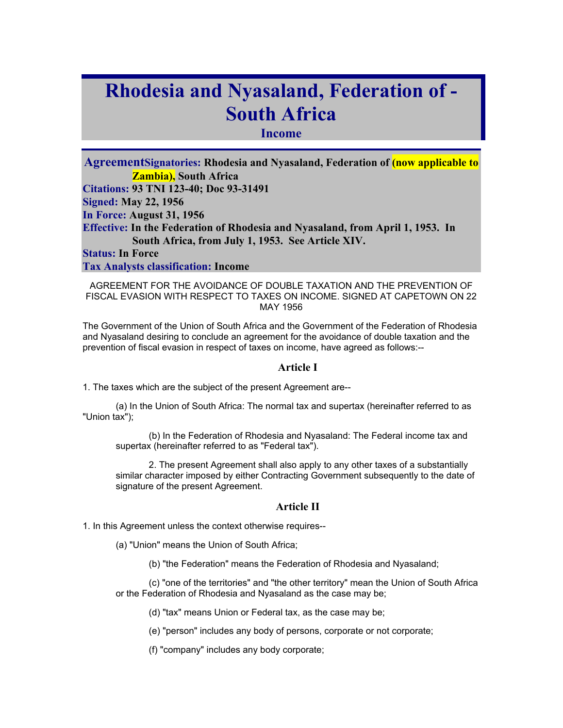# **Rhodesia and Nyasaland, Federation of - South Africa**

## **Income**

**AgreementSignatories: Rhodesia and Nyasaland, Federation of (now applicable to Zambia), South Africa Citations: 93 TNI 123-40; Doc 93-31491 Signed: May 22, 1956 In Force: August 31, 1956 Effective: In the Federation of Rhodesia and Nyasaland, from April 1, 1953. In South Africa, from July 1, 1953. See Article XIV. Status: In Force** 

**Tax Analysts classification: Income** 

AGREEMENT FOR THE AVOIDANCE OF DOUBLE TAXATION AND THE PREVENTION OF FISCAL EVASION WITH RESPECT TO TAXES ON INCOME. SIGNED AT CAPETOWN ON 22 MAY 1956

The Government of the Union of South Africa and the Government of the Federation of Rhodesia and Nyasaland desiring to conclude an agreement for the avoidance of double taxation and the prevention of fiscal evasion in respect of taxes on income, have agreed as follows:--

#### **Article I**

1. The taxes which are the subject of the present Agreement are--

(a) In the Union of South Africa: The normal tax and supertax (hereinafter referred to as "Union tax");

(b) In the Federation of Rhodesia and Nyasaland: The Federal income tax and supertax (hereinafter referred to as "Federal tax").

2. The present Agreement shall also apply to any other taxes of a substantially similar character imposed by either Contracting Government subsequently to the date of signature of the present Agreement.

#### **Article II**

1. In this Agreement unless the context otherwise requires--

- (a) "Union" means the Union of South Africa;
	- (b) "the Federation" means the Federation of Rhodesia and Nyasaland;

(c) "one of the territories" and "the other territory" mean the Union of South Africa or the Federation of Rhodesia and Nyasaland as the case may be;

(d) "tax" means Union or Federal tax, as the case may be;

(e) "person" includes any body of persons, corporate or not corporate;

(f) "company" includes any body corporate;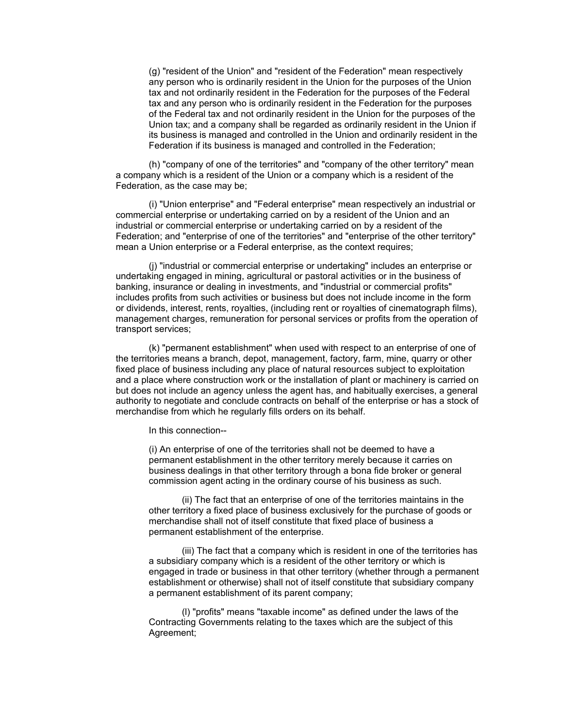(g) "resident of the Union" and "resident of the Federation" mean respectively any person who is ordinarily resident in the Union for the purposes of the Union tax and not ordinarily resident in the Federation for the purposes of the Federal tax and any person who is ordinarily resident in the Federation for the purposes of the Federal tax and not ordinarily resident in the Union for the purposes of the Union tax; and a company shall be regarded as ordinarily resident in the Union if its business is managed and controlled in the Union and ordinarily resident in the Federation if its business is managed and controlled in the Federation;

(h) "company of one of the territories" and "company of the other territory" mean a company which is a resident of the Union or a company which is a resident of the Federation, as the case may be;

(i) "Union enterprise" and "Federal enterprise" mean respectively an industrial or commercial enterprise or undertaking carried on by a resident of the Union and an industrial or commercial enterprise or undertaking carried on by a resident of the Federation; and "enterprise of one of the territories" and "enterprise of the other territory" mean a Union enterprise or a Federal enterprise, as the context requires;

(j) "industrial or commercial enterprise or undertaking" includes an enterprise or undertaking engaged in mining, agricultural or pastoral activities or in the business of banking, insurance or dealing in investments, and "industrial or commercial profits" includes profits from such activities or business but does not include income in the form or dividends, interest, rents, royalties, (including rent or royalties of cinematograph films), management charges, remuneration for personal services or profits from the operation of transport services;

(k) "permanent establishment" when used with respect to an enterprise of one of the territories means a branch, depot, management, factory, farm, mine, quarry or other fixed place of business including any place of natural resources subject to exploitation and a place where construction work or the installation of plant or machinery is carried on but does not include an agency unless the agent has, and habitually exercises, a general authority to negotiate and conclude contracts on behalf of the enterprise or has a stock of merchandise from which he regularly fills orders on its behalf.

In this connection--

(i) An enterprise of one of the territories shall not be deemed to have a permanent establishment in the other territory merely because it carries on business dealings in that other territory through a bona fide broker or general commission agent acting in the ordinary course of his business as such.

(ii) The fact that an enterprise of one of the territories maintains in the other territory a fixed place of business exclusively for the purchase of goods or merchandise shall not of itself constitute that fixed place of business a permanent establishment of the enterprise.

(iii) The fact that a company which is resident in one of the territories has a subsidiary company which is a resident of the other territory or which is engaged in trade or business in that other territory (whether through a permanent establishment or otherwise) shall not of itself constitute that subsidiary company a permanent establishment of its parent company;

(l) "profits" means "taxable income" as defined under the laws of the Contracting Governments relating to the taxes which are the subject of this Agreement;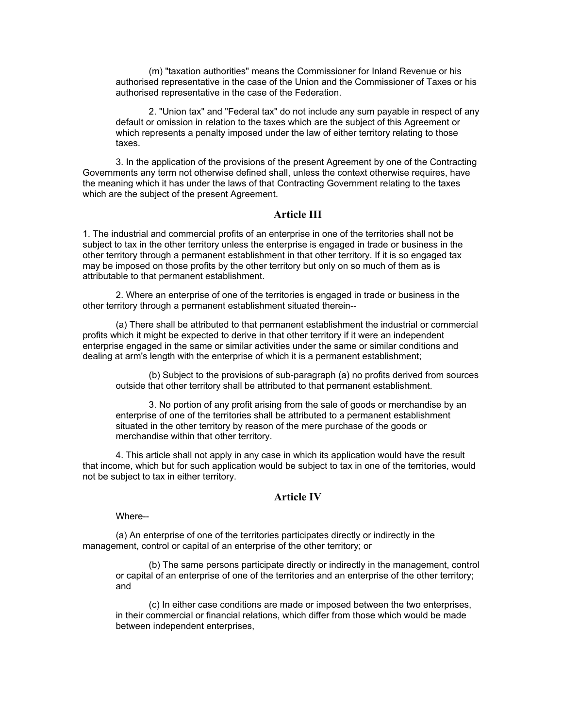(m) "taxation authorities" means the Commissioner for Inland Revenue or his authorised representative in the case of the Union and the Commissioner of Taxes or his authorised representative in the case of the Federation.

2. "Union tax" and "Federal tax" do not include any sum payable in respect of any default or omission in relation to the taxes which are the subject of this Agreement or which represents a penalty imposed under the law of either territory relating to those taxes.

3. In the application of the provisions of the present Agreement by one of the Contracting Governments any term not otherwise defined shall, unless the context otherwise requires, have the meaning which it has under the laws of that Contracting Government relating to the taxes which are the subject of the present Agreement.

## **Article III**

1. The industrial and commercial profits of an enterprise in one of the territories shall not be subject to tax in the other territory unless the enterprise is engaged in trade or business in the other territory through a permanent establishment in that other territory. If it is so engaged tax may be imposed on those profits by the other territory but only on so much of them as is attributable to that permanent establishment.

2. Where an enterprise of one of the territories is engaged in trade or business in the other territory through a permanent establishment situated therein--

(a) There shall be attributed to that permanent establishment the industrial or commercial profits which it might be expected to derive in that other territory if it were an independent enterprise engaged in the same or similar activities under the same or similar conditions and dealing at arm's length with the enterprise of which it is a permanent establishment;

(b) Subject to the provisions of sub-paragraph (a) no profits derived from sources outside that other territory shall be attributed to that permanent establishment.

3. No portion of any profit arising from the sale of goods or merchandise by an enterprise of one of the territories shall be attributed to a permanent establishment situated in the other territory by reason of the mere purchase of the goods or merchandise within that other territory.

4. This article shall not apply in any case in which its application would have the result that income, which but for such application would be subject to tax in one of the territories, would not be subject to tax in either territory.

## **Article IV**

Where--

(a) An enterprise of one of the territories participates directly or indirectly in the management, control or capital of an enterprise of the other territory; or

(b) The same persons participate directly or indirectly in the management, control or capital of an enterprise of one of the territories and an enterprise of the other territory; and

(c) In either case conditions are made or imposed between the two enterprises, in their commercial or financial relations, which differ from those which would be made between independent enterprises,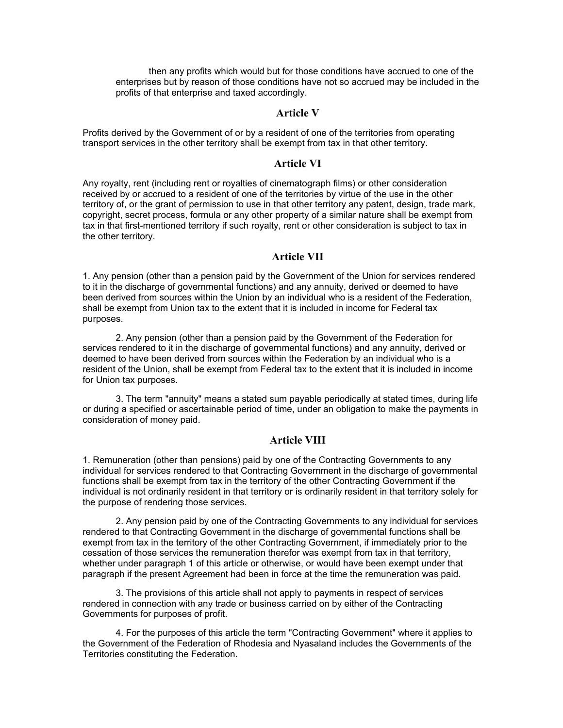then any profits which would but for those conditions have accrued to one of the enterprises but by reason of those conditions have not so accrued may be included in the profits of that enterprise and taxed accordingly.

### **Article V**

Profits derived by the Government of or by a resident of one of the territories from operating transport services in the other territory shall be exempt from tax in that other territory.

## **Article VI**

Any royalty, rent (including rent or royalties of cinematograph films) or other consideration received by or accrued to a resident of one of the territories by virtue of the use in the other territory of, or the grant of permission to use in that other territory any patent, design, trade mark, copyright, secret process, formula or any other property of a similar nature shall be exempt from tax in that first-mentioned territory if such royalty, rent or other consideration is subject to tax in the other territory.

#### **Article VII**

1. Any pension (other than a pension paid by the Government of the Union for services rendered to it in the discharge of governmental functions) and any annuity, derived or deemed to have been derived from sources within the Union by an individual who is a resident of the Federation, shall be exempt from Union tax to the extent that it is included in income for Federal tax purposes.

2. Any pension (other than a pension paid by the Government of the Federation for services rendered to it in the discharge of governmental functions) and any annuity, derived or deemed to have been derived from sources within the Federation by an individual who is a resident of the Union, shall be exempt from Federal tax to the extent that it is included in income for Union tax purposes.

3. The term "annuity" means a stated sum payable periodically at stated times, during life or during a specified or ascertainable period of time, under an obligation to make the payments in consideration of money paid.

## **Article VIII**

1. Remuneration (other than pensions) paid by one of the Contracting Governments to any individual for services rendered to that Contracting Government in the discharge of governmental functions shall be exempt from tax in the territory of the other Contracting Government if the individual is not ordinarily resident in that territory or is ordinarily resident in that territory solely for the purpose of rendering those services.

2. Any pension paid by one of the Contracting Governments to any individual for services rendered to that Contracting Government in the discharge of governmental functions shall be exempt from tax in the territory of the other Contracting Government, if immediately prior to the cessation of those services the remuneration therefor was exempt from tax in that territory, whether under paragraph 1 of this article or otherwise, or would have been exempt under that paragraph if the present Agreement had been in force at the time the remuneration was paid.

3. The provisions of this article shall not apply to payments in respect of services rendered in connection with any trade or business carried on by either of the Contracting Governments for purposes of profit.

4. For the purposes of this article the term "Contracting Government" where it applies to the Government of the Federation of Rhodesia and Nyasaland includes the Governments of the Territories constituting the Federation.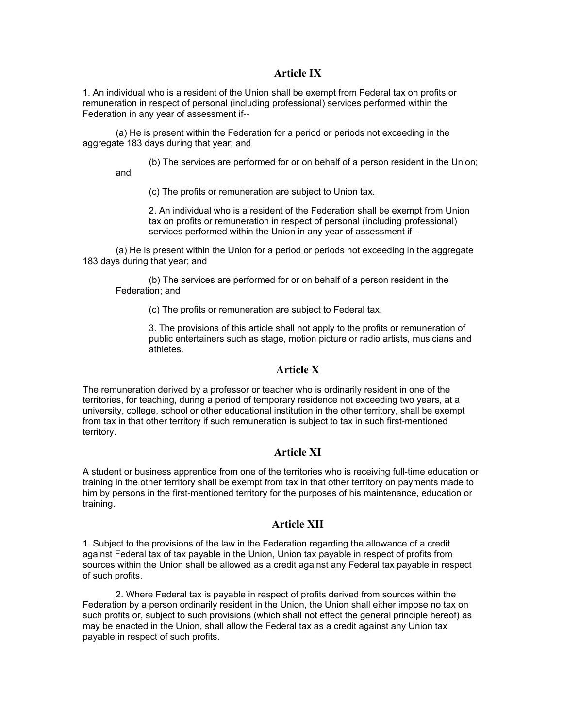## **Article IX**

1. An individual who is a resident of the Union shall be exempt from Federal tax on profits or remuneration in respect of personal (including professional) services performed within the Federation in any year of assessment if--

(a) He is present within the Federation for a period or periods not exceeding in the aggregate 183 days during that year; and

(b) The services are performed for or on behalf of a person resident in the Union;

(c) The profits or remuneration are subject to Union tax.

and

2. An individual who is a resident of the Federation shall be exempt from Union tax on profits or remuneration in respect of personal (including professional) services performed within the Union in any year of assessment if--

(a) He is present within the Union for a period or periods not exceeding in the aggregate 183 days during that year; and

(b) The services are performed for or on behalf of a person resident in the Federation; and

(c) The profits or remuneration are subject to Federal tax.

3. The provisions of this article shall not apply to the profits or remuneration of public entertainers such as stage, motion picture or radio artists, musicians and athletes.

## **Article X**

The remuneration derived by a professor or teacher who is ordinarily resident in one of the territories, for teaching, during a period of temporary residence not exceeding two years, at a university, college, school or other educational institution in the other territory, shall be exempt from tax in that other territory if such remuneration is subject to tax in such first-mentioned territory.

## **Article XI**

A student or business apprentice from one of the territories who is receiving full-time education or training in the other territory shall be exempt from tax in that other territory on payments made to him by persons in the first-mentioned territory for the purposes of his maintenance, education or training.

## **Article XII**

1. Subject to the provisions of the law in the Federation regarding the allowance of a credit against Federal tax of tax payable in the Union, Union tax payable in respect of profits from sources within the Union shall be allowed as a credit against any Federal tax payable in respect of such profits.

2. Where Federal tax is payable in respect of profits derived from sources within the Federation by a person ordinarily resident in the Union, the Union shall either impose no tax on such profits or, subject to such provisions (which shall not effect the general principle hereof) as may be enacted in the Union, shall allow the Federal tax as a credit against any Union tax payable in respect of such profits.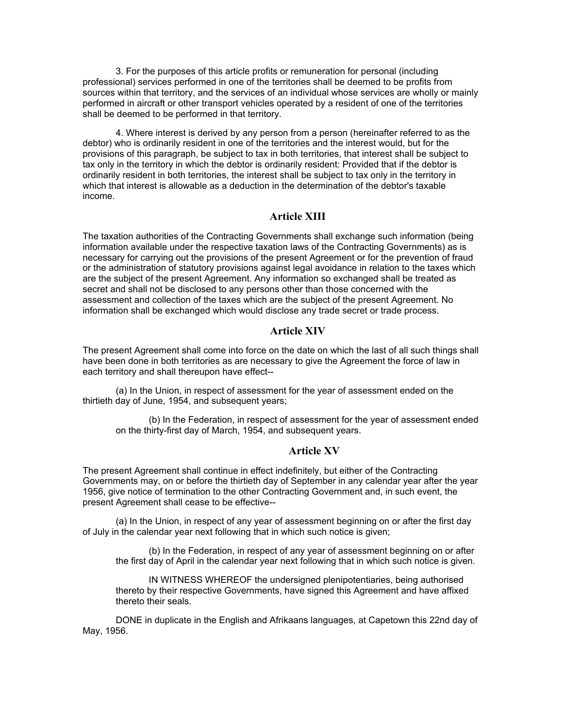3. For the purposes of this article profits or remuneration for personal (including professional) services performed in one of the territories shall be deemed to be profits from sources within that territory, and the services of an individual whose services are wholly or mainly performed in aircraft or other transport vehicles operated by a resident of one of the territories shall be deemed to be performed in that territory.

4. Where interest is derived by any person from a person (hereinafter referred to as the debtor) who is ordinarily resident in one of the territories and the interest would, but for the provisions of this paragraph, be subject to tax in both territories, that interest shall be subject to tax only in the territory in which the debtor is ordinarily resident: Provided that if the debtor is ordinarily resident in both territories, the interest shall be subject to tax only in the territory in which that interest is allowable as a deduction in the determination of the debtor's taxable income.

#### **Article XIII**

The taxation authorities of the Contracting Governments shall exchange such information (being information available under the respective taxation laws of the Contracting Governments) as is necessary for carrying out the provisions of the present Agreement or for the prevention of fraud or the administration of statutory provisions against legal avoidance in relation to the taxes which are the subject of the present Agreement. Any information so exchanged shall be treated as secret and shall not be disclosed to any persons other than those concerned with the assessment and collection of the taxes which are the subject of the present Agreement. No information shall be exchanged which would disclose any trade secret or trade process.

## **Article XIV**

The present Agreement shall come into force on the date on which the last of all such things shall have been done in both territories as are necessary to give the Agreement the force of law in each territory and shall thereupon have effect--

(a) In the Union, in respect of assessment for the year of assessment ended on the thirtieth day of June, 1954, and subsequent years;

(b) In the Federation, in respect of assessment for the year of assessment ended on the thirty-first day of March, 1954, and subsequent years.

## **Article XV**

The present Agreement shall continue in effect indefinitely, but either of the Contracting Governments may, on or before the thirtieth day of September in any calendar year after the year 1956, give notice of termination to the other Contracting Government and, in such event, the present Agreement shall cease to be effective--

(a) In the Union, in respect of any year of assessment beginning on or after the first day of July in the calendar year next following that in which such notice is given;

(b) In the Federation, in respect of any year of assessment beginning on or after the first day of April in the calendar year next following that in which such notice is given.

IN WITNESS WHEREOF the undersigned plenipotentiaries, being authorised thereto by their respective Governments, have signed this Agreement and have affixed thereto their seals.

DONE in duplicate in the English and Afrikaans languages, at Capetown this 22nd day of May, 1956.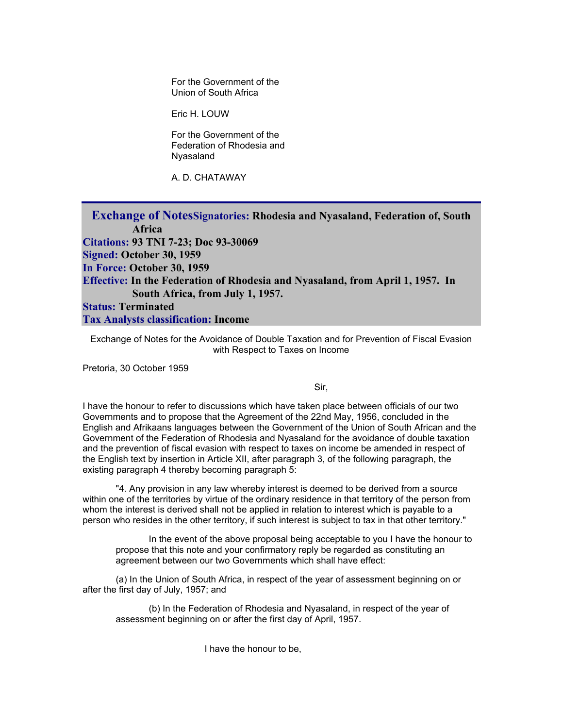For the Government of the Union of South Africa

Eric H. LOUW

 For the Government of the Federation of Rhodesia and Nyasaland

A. D. CHATAWAY

**Exchange of NotesSignatories: Rhodesia and Nyasaland, Federation of, South Africa Citations: 93 TNI 7-23; Doc 93-30069 Signed: October 30, 1959 In Force: October 30, 1959 Effective: In the Federation of Rhodesia and Nyasaland, from April 1, 1957. In South Africa, from July 1, 1957. Status: Terminated Tax Analysts classification: Income** 

Exchange of Notes for the Avoidance of Double Taxation and for Prevention of Fiscal Evasion with Respect to Taxes on Income

Pretoria, 30 October 1959

Sir,

I have the honour to refer to discussions which have taken place between officials of our two Governments and to propose that the Agreement of the 22nd May, 1956, concluded in the English and Afrikaans languages between the Government of the Union of South African and the Government of the Federation of Rhodesia and Nyasaland for the avoidance of double taxation and the prevention of fiscal evasion with respect to taxes on income be amended in respect of the English text by insertion in Article XII, after paragraph 3, of the following paragraph, the existing paragraph 4 thereby becoming paragraph 5:

"4. Any provision in any law whereby interest is deemed to be derived from a source within one of the territories by virtue of the ordinary residence in that territory of the person from whom the interest is derived shall not be applied in relation to interest which is payable to a person who resides in the other territory, if such interest is subject to tax in that other territory."

In the event of the above proposal being acceptable to you I have the honour to propose that this note and your confirmatory reply be regarded as constituting an agreement between our two Governments which shall have effect:

(a) In the Union of South Africa, in respect of the year of assessment beginning on or after the first day of July, 1957; and

(b) In the Federation of Rhodesia and Nyasaland, in respect of the year of assessment beginning on or after the first day of April, 1957.

I have the honour to be,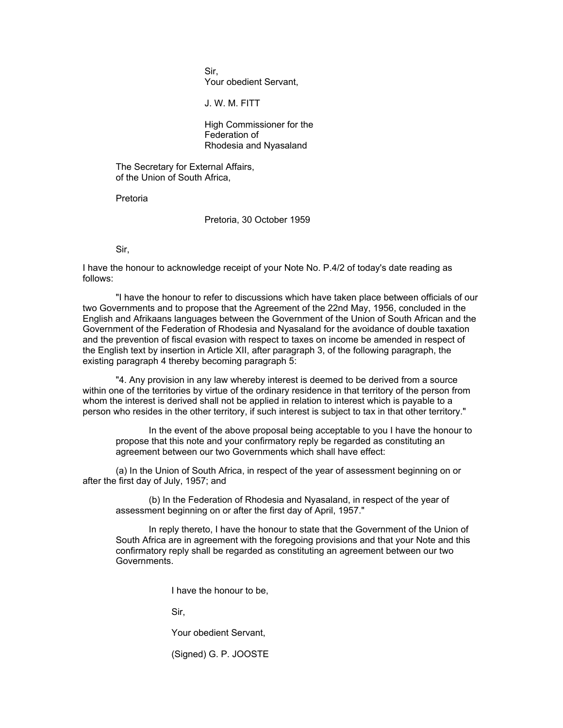Sir, Your obedient Servant,

J. W. M. FITT

 High Commissioner for the Federation of Rhodesia and Nyasaland

The Secretary for External Affairs, of the Union of South Africa,

Pretoria

Pretoria, 30 October 1959

Sir,

I have the honour to acknowledge receipt of your Note No. P.4/2 of today's date reading as follows:

"I have the honour to refer to discussions which have taken place between officials of our two Governments and to propose that the Agreement of the 22nd May, 1956, concluded in the English and Afrikaans languages between the Government of the Union of South African and the Government of the Federation of Rhodesia and Nyasaland for the avoidance of double taxation and the prevention of fiscal evasion with respect to taxes on income be amended in respect of the English text by insertion in Article XII, after paragraph 3, of the following paragraph, the existing paragraph 4 thereby becoming paragraph 5:

"4. Any provision in any law whereby interest is deemed to be derived from a source within one of the territories by virtue of the ordinary residence in that territory of the person from whom the interest is derived shall not be applied in relation to interest which is payable to a person who resides in the other territory, if such interest is subject to tax in that other territory."

In the event of the above proposal being acceptable to you I have the honour to propose that this note and your confirmatory reply be regarded as constituting an agreement between our two Governments which shall have effect:

(a) In the Union of South Africa, in respect of the year of assessment beginning on or after the first day of July, 1957; and

(b) In the Federation of Rhodesia and Nyasaland, in respect of the year of assessment beginning on or after the first day of April, 1957."

In reply thereto, I have the honour to state that the Government of the Union of South Africa are in agreement with the foregoing provisions and that your Note and this confirmatory reply shall be regarded as constituting an agreement between our two Governments.

I have the honour to be,

Sir,

Your obedient Servant,

(Signed) G. P. JOOSTE